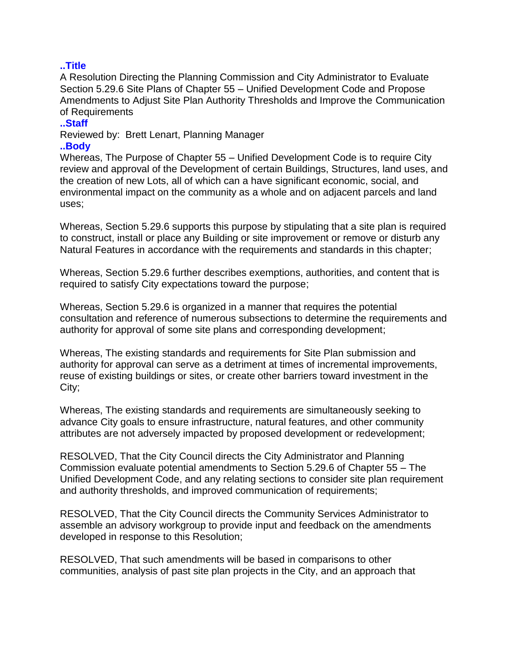## **..Title**

A Resolution Directing the Planning Commission and City Administrator to Evaluate Section 5.29.6 Site Plans of Chapter 55 – Unified Development Code and Propose Amendments to Adjust Site Plan Authority Thresholds and Improve the Communication of Requirements

## **..Staff**

Reviewed by: Brett Lenart, Planning Manager

## **..Body**

Whereas, The Purpose of Chapter 55 – Unified Development Code is to require City review and approval of the Development of certain Buildings, Structures, land uses, and the creation of new Lots, all of which can a have significant economic, social, and environmental impact on the community as a whole and on adjacent parcels and land uses;

Whereas, Section 5.29.6 supports this purpose by stipulating that a site plan is required to construct, install or place any Building or site improvement or remove or disturb any Natural Features in accordance with the requirements and standards in this chapter;

Whereas, Section 5.29.6 further describes exemptions, authorities, and content that is required to satisfy City expectations toward the purpose;

Whereas, Section 5.29.6 is organized in a manner that requires the potential consultation and reference of numerous subsections to determine the requirements and authority for approval of some site plans and corresponding development;

Whereas, The existing standards and requirements for Site Plan submission and authority for approval can serve as a detriment at times of incremental improvements, reuse of existing buildings or sites, or create other barriers toward investment in the City;

Whereas, The existing standards and requirements are simultaneously seeking to advance City goals to ensure infrastructure, natural features, and other community attributes are not adversely impacted by proposed development or redevelopment;

RESOLVED, That the City Council directs the City Administrator and Planning Commission evaluate potential amendments to Section 5.29.6 of Chapter 55 – The Unified Development Code, and any relating sections to consider site plan requirement and authority thresholds, and improved communication of requirements;

RESOLVED, That the City Council directs the Community Services Administrator to assemble an advisory workgroup to provide input and feedback on the amendments developed in response to this Resolution;

RESOLVED, That such amendments will be based in comparisons to other communities, analysis of past site plan projects in the City, and an approach that